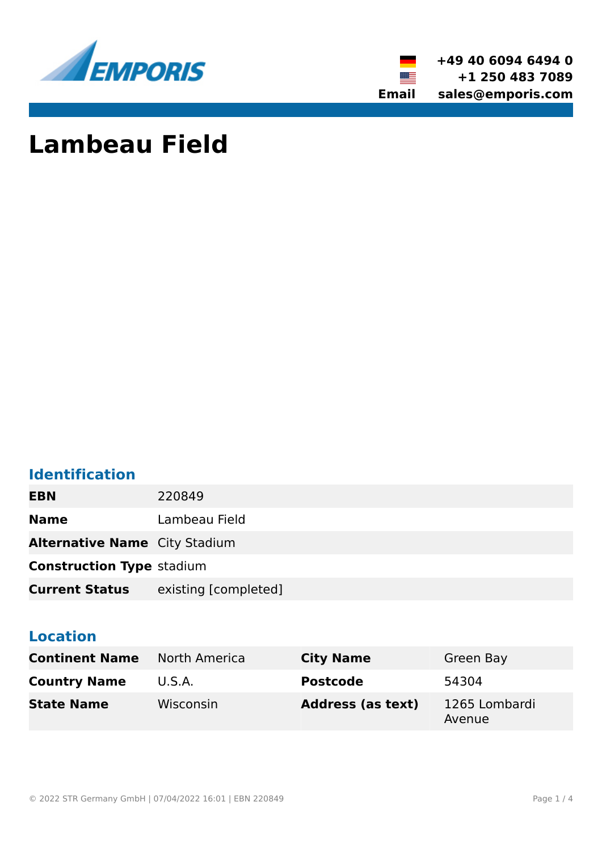



# **Lambeau Field**

## **Identification**

**EBN** 220849

**Name** Lambeau Field

**Alternative Name** City Stadium

**Construction Type** stadium

**Current Status** existing [completed]

## **Location**

| <b>Continent Name</b> North America |           | <b>City Name</b>         | Green Bay               |
|-------------------------------------|-----------|--------------------------|-------------------------|
| <b>Country Name</b>                 | U.S.A.    | <b>Postcode</b>          | 54304                   |
| <b>State Name</b>                   | Wisconsin | <b>Address (as text)</b> | 1265 Lombardi<br>Avenue |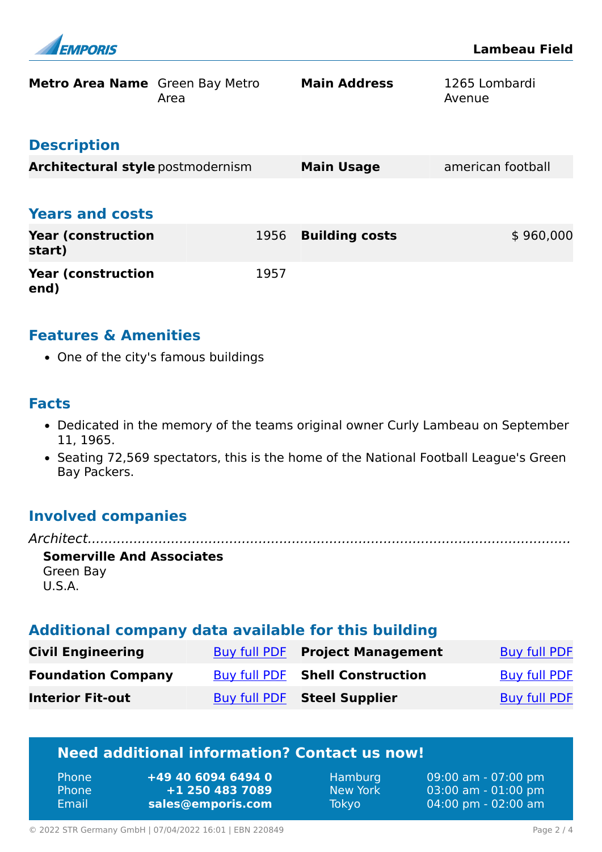

| <b>Metro Area Name</b> Green Bay Metro | Area | <b>Main Address</b>   | 1265 Lombardi<br>Avenue |
|----------------------------------------|------|-----------------------|-------------------------|
| <b>Description</b>                     |      |                       |                         |
| Architectural style postmodernism      |      | <b>Main Usage</b>     | american football       |
| <b>Years and costs</b>                 |      |                       |                         |
| <b>Year (construction</b><br>start)    | 1956 | <b>Building costs</b> | \$960,000               |
| <b>Year (construction)</b><br>end)     | 1957 |                       |                         |

#### **Features & Amenities**

• One of the city's famous buildings

#### **Facts**

- Dedicated in the memory of the teams original owner Curly Lambeau on September 11, 1965.
- Seating 72,569 spectators, this is the home of the National Football League's Green Bay Packers.

## **Involved companies**

*Architect....................................................................................................................* **Somerville And Associates** Green Bay U.S.A.

#### **Additional company data available for this building**

| <b>Civil Engineering</b>  | Buy full PDF Project Management        | Buy full PDF |
|---------------------------|----------------------------------------|--------------|
| <b>Foundation Company</b> | <b>Buy full PDF Shell Construction</b> | Buy full PDF |
| <b>Interior Fit-out</b>   | Buy full PDF Steel Supplier            | Buy full PDF |

## **Need additional information? Contact us now!**

| ' Phone i    | +49 40 6094 6494 0 |
|--------------|--------------------|
| <b>Phone</b> | +1 250 483 7089    |
| Email        | sales@emporis.com  |

Hamburg 09:00 am - 07:00 pm New York 03:00 am - 01:00 pm Tokyo 04:00 pm - 02:00 am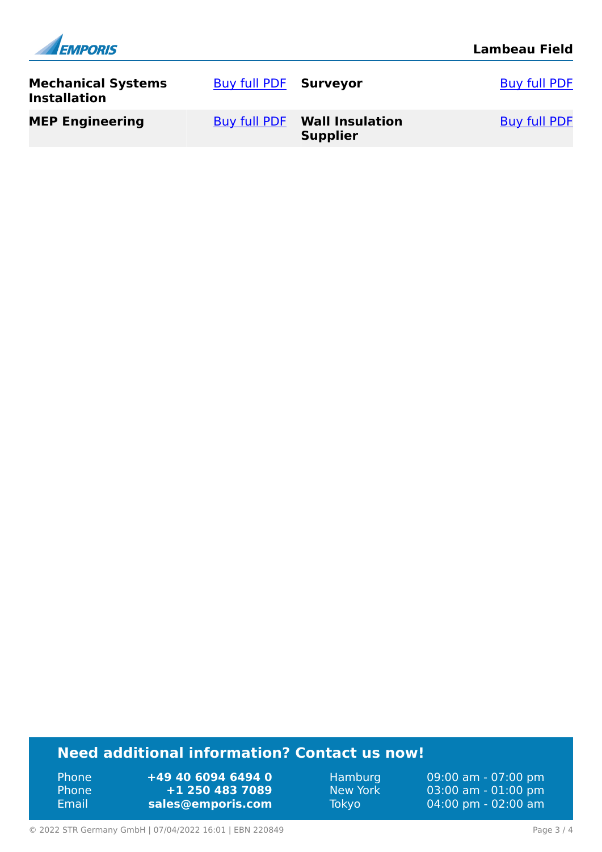| <b>EMPORIS</b>                                   |                       |                                                        | <b>Lambeau Field</b> |
|--------------------------------------------------|-----------------------|--------------------------------------------------------|----------------------|
| <b>Mechanical Systems</b><br><b>Installation</b> | Buy full PDF Surveyor |                                                        | <b>Buy full PDF</b>  |
| <b>MEP Engineering</b>                           |                       | <b>Buy full PDF Wall Insulation</b><br><b>Supplier</b> | <b>Buy full PDF</b>  |

## **Need additional information? Contact us now!**

Phone **+49 40 6094 6494 0<br>
Phone <b>+1 250 483 7089** Phone **+1 250 483 7089** Email **<sales@emporis.com>**

Hamburg 09:00 am - 07:00 pm<br>New York 03:00 am - 01:00 pm New York 03:00 am - 01:00 pm<br>Tokyo 04:00 pm - 02:00 am 04:00 pm - 02:00 am